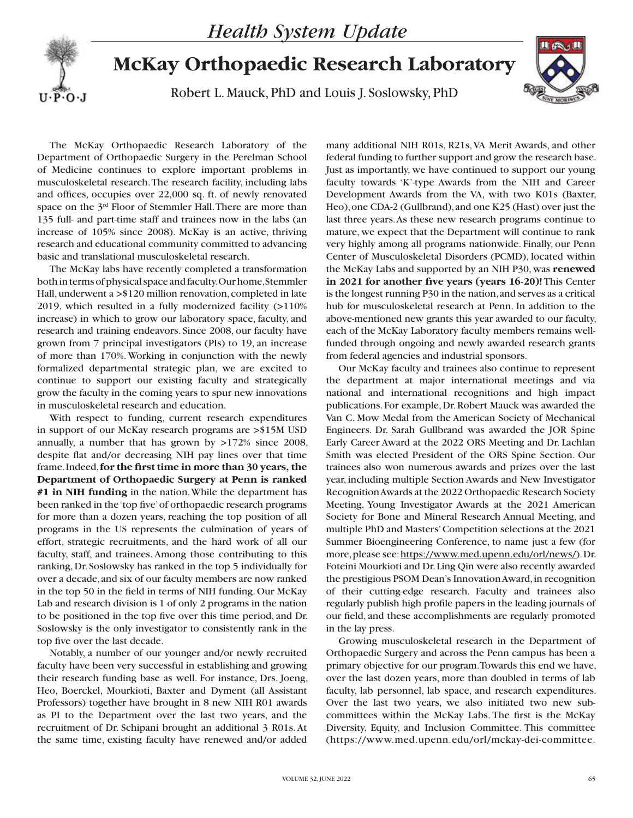

## **McKay Orthopaedic Research Laboratory**

Robert L. Mauck, PhD and Louis J. Soslowsky, PhD



The McKay Orthopaedic Research Laboratory of the Department of Orthopaedic Surgery in the Perelman School of Medicine continues to explore important problems in musculoskeletal research. The research facility, including labs and offices, occupies over 22,000 sq. ft. of newly renovated space on the 3<sup>rd</sup> Floor of Stemmler Hall. There are more than 135 full- and part-time staff and trainees now in the labs (an increase of 105% since 2008). McKay is an active, thriving research and educational community committed to advancing basic and translational musculoskeletal research.

The McKay labs have recently completed a transformation both in terms of physical space and faculty. Our home, Stemmler Hall, underwent a >\$120 million renovation, completed in late 2019, which resulted in a fully modernized facility (>110% increase) in which to grow our laboratory space, faculty, and research and training endeavors. Since 2008, our faculty have grown from 7 principal investigators (PIs) to 19, an increase of more than 170%. Working in conjunction with the newly formalized departmental strategic plan, we are excited to continue to support our existing faculty and strategically grow the faculty in the coming years to spur new innovations in musculoskeletal research and education.

With respect to funding, current research expenditures in support of our McKay research programs are >\$15M USD annually, a number that has grown by >172% since 2008, despite flat and/or decreasing NIH pay lines over that time frame. Indeed, **for the first time in more than 30 years, the Department of Orthopaedic Surgery at Penn is ranked #1 in NIH funding** in the nation. While the department has been ranked in the 'top five' of orthopaedic research programs for more than a dozen years, reaching the top position of all programs in the US represents the culmination of years of effort, strategic recruitments, and the hard work of all our faculty, staff, and trainees. Among those contributing to this ranking, Dr. Soslowsky has ranked in the top 5 individually for over a decade, and six of our faculty members are now ranked in the top 50 in the field in terms of NIH funding. Our McKay Lab and research division is 1 of only 2 programs in the nation to be positioned in the top five over this time period, and Dr. Soslowsky is the only investigator to consistently rank in the top five over the last decade.

Notably, a number of our younger and/or newly recruited faculty have been very successful in establishing and growing their research funding base as well. For instance, Drs. Joeng, Heo, Boerckel, Mourkioti, Baxter and Dyment (all Assistant Professors) together have brought in 8 new NIH R01 awards as PI to the Department over the last two years, and the recruitment of Dr. Schipani brought an additional 3 R01s. At the same time, existing faculty have renewed and/or added

many additional NIH R01s, R21s, VA Merit Awards, and other federal funding to further support and grow the research base. Just as importantly, we have continued to support our young faculty towards 'K'-type Awards from the NIH and Career Development Awards from the VA, with two K01s (Baxter, Heo), one CDA-2 (Gullbrand), and one K25 (Hast) over just the last three years. As these new research programs continue to mature, we expect that the Department will continue to rank very highly among all programs nationwide. Finally, our Penn Center of Musculoskeletal Disorders (PCMD), located within the McKay Labs and supported by an NIH P30, was **renewed in 2021 for another five years (years 16-20)!** This Center is the longest running P30 in the nation, and serves as a critical hub for musculoskeletal research at Penn. In addition to the above-mentioned new grants this year awarded to our faculty, each of the McKay Laboratory faculty members remains wellfunded through ongoing and newly awarded research grants from federal agencies and industrial sponsors.

Our McKay faculty and trainees also continue to represent the department at major international meetings and via national and international recognitions and high impact publications. For example, Dr. Robert Mauck was awarded the Van C. Mow Medal from the American Society of Mechanical Engineers. Dr. Sarah Gullbrand was awarded the JOR Spine Early Career Award at the 2022 ORS Meeting and Dr. Lachlan Smith was elected President of the ORS Spine Section. Our trainees also won numerous awards and prizes over the last year, including multiple Section Awards and New Investigator Recognition Awards at the 2022 Orthopaedic Research Society Meeting, Young Investigator Awards at the 2021 American Society for Bone and Mineral Research Annual Meeting, and multiple PhD and Masters' Competition selections at the 2021 Summer Bioengineering Conference, to name just a few (for more, please see: https://www.med.upenn.edu/orl/news/). Dr. Foteini Mourkioti and Dr. Ling Qin were also recently awarded the prestigious PSOM Dean's Innovation Award, in recognition of their cutting-edge research. Faculty and trainees also regularly publish high profile papers in the leading journals of our field, and these accomplishments are regularly promoted in the lay press.

Growing musculoskeletal research in the Department of Orthopaedic Surgery and across the Penn campus has been a primary objective for our program. Towards this end we have, over the last dozen years, more than doubled in terms of lab faculty, lab personnel, lab space, and research expenditures. Over the last two years, we also initiated two new subcommittees within the McKay Labs. The first is the McKay Diversity, Equity, and Inclusion Committee. This committee (https://www.med.upenn.edu/orl/mckay-dei-committee.